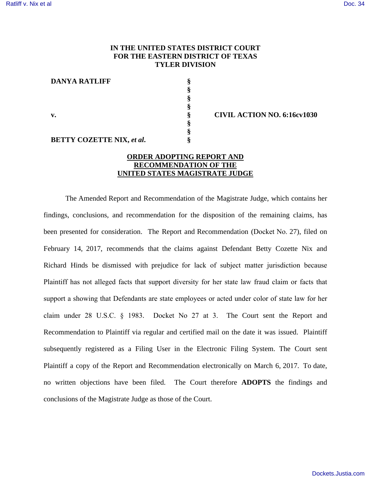## **IN THE UNITED STATES DISTRICT COURT FOR THE EASTERN DISTRICT OF TEXAS TYLER DIVISION**

**§ § § §**

**§ § §**

**DANYA RATLIFF**

**v.** 

**BETTY COZETTE NIX,** *et al***.** 

**§ CIVIL ACTION NO. 6:16cv1030**

## **ORDER ADOPTING REPORT AND RECOMMENDATION OF THE UNITED STATES MAGISTRATE JUDGE**

The Amended Report and Recommendation of the Magistrate Judge, which contains her findings, conclusions, and recommendation for the disposition of the remaining claims, has been presented for consideration. The Report and Recommendation (Docket No. 27), filed on February 14, 2017, recommends that the claims against Defendant Betty Cozette Nix and Richard Hinds be dismissed with prejudice for lack of subject matter jurisdiction because Plaintiff has not alleged facts that support diversity for her state law fraud claim or facts that support a showing that Defendants are state employees or acted under color of state law for her claim under 28 U.S.C. § 1983. Docket No 27 at 3. The Court sent the Report and Recommendation to Plaintiff via regular and certified mail on the date it was issued. Plaintiff subsequently registered as a Filing User in the Electronic Filing System. The Court sent Plaintiff a copy of the Report and Recommendation electronically on March 6, 2017. To date, no written objections have been filed. The Court therefore **ADOPTS** the findings and conclusions of the Magistrate Judge as those of the Court.